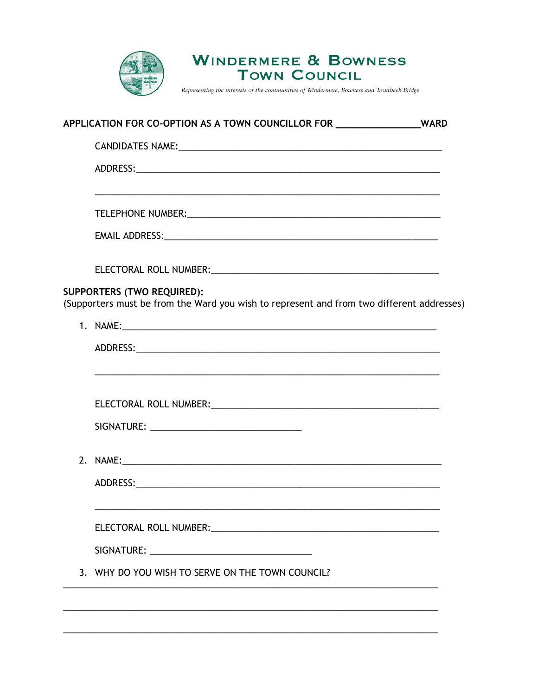

**WINDERMERE & BOWNESS TOWN COUNCIL** 

Representing the interests of the communities of Windermere, Bowness and Troutbeck Bridge

|  | APPLICATION FOR CO-OPTION AS A TOWN COUNCILLOR FOR _________________WARD                                                                                                                                                       |  |
|--|--------------------------------------------------------------------------------------------------------------------------------------------------------------------------------------------------------------------------------|--|
|  |                                                                                                                                                                                                                                |  |
|  |                                                                                                                                                                                                                                |  |
|  | <u> 1989 - Johann Stoff, amerikan bestein de stad in de stad in de stad in de stad in de stad in de stad in de st</u>                                                                                                          |  |
|  | EMAIL ADDRESS: University of the contract of the contract of the contract of the contract of the contract of the contract of the contract of the contract of the contract of the contract of the contract of the contract of t |  |
|  |                                                                                                                                                                                                                                |  |
|  | <b>SUPPORTERS (TWO REQUIRED):</b><br>(Supporters must be from the Ward you wish to represent and from two different addresses)                                                                                                 |  |
|  |                                                                                                                                                                                                                                |  |
|  |                                                                                                                                                                                                                                |  |
|  |                                                                                                                                                                                                                                |  |
|  |                                                                                                                                                                                                                                |  |
|  |                                                                                                                                                                                                                                |  |
|  |                                                                                                                                                                                                                                |  |
|  | ELECTORAL ROLL NUMBER: University of the contract of the contract of the contract of the contract of the contract of the contract of the contract of the contract of the contract of the contract of the contract of the contr |  |
|  |                                                                                                                                                                                                                                |  |
|  | 3. WHY DO YOU WISH TO SERVE ON THE TOWN COUNCIL?                                                                                                                                                                               |  |
|  |                                                                                                                                                                                                                                |  |
|  |                                                                                                                                                                                                                                |  |